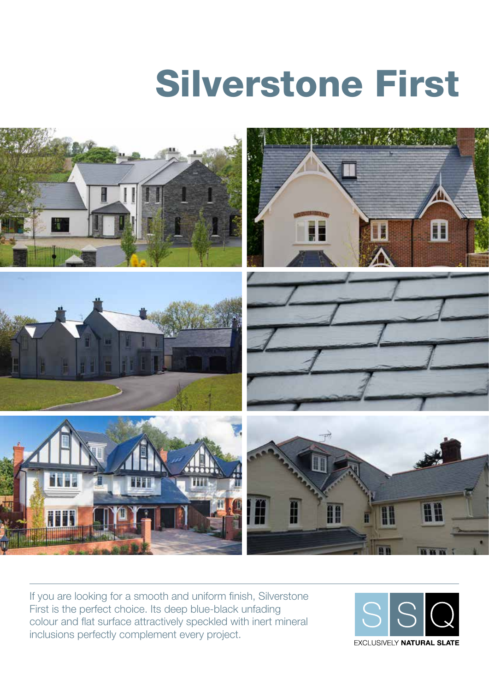# Silverstone First



If you are looking for a smooth and uniform finish, Silverstone First is the perfect choice. Its deep blue-black unfading colour and flat surface attractively speckled with inert mineral inclusions perfectly complement every project.